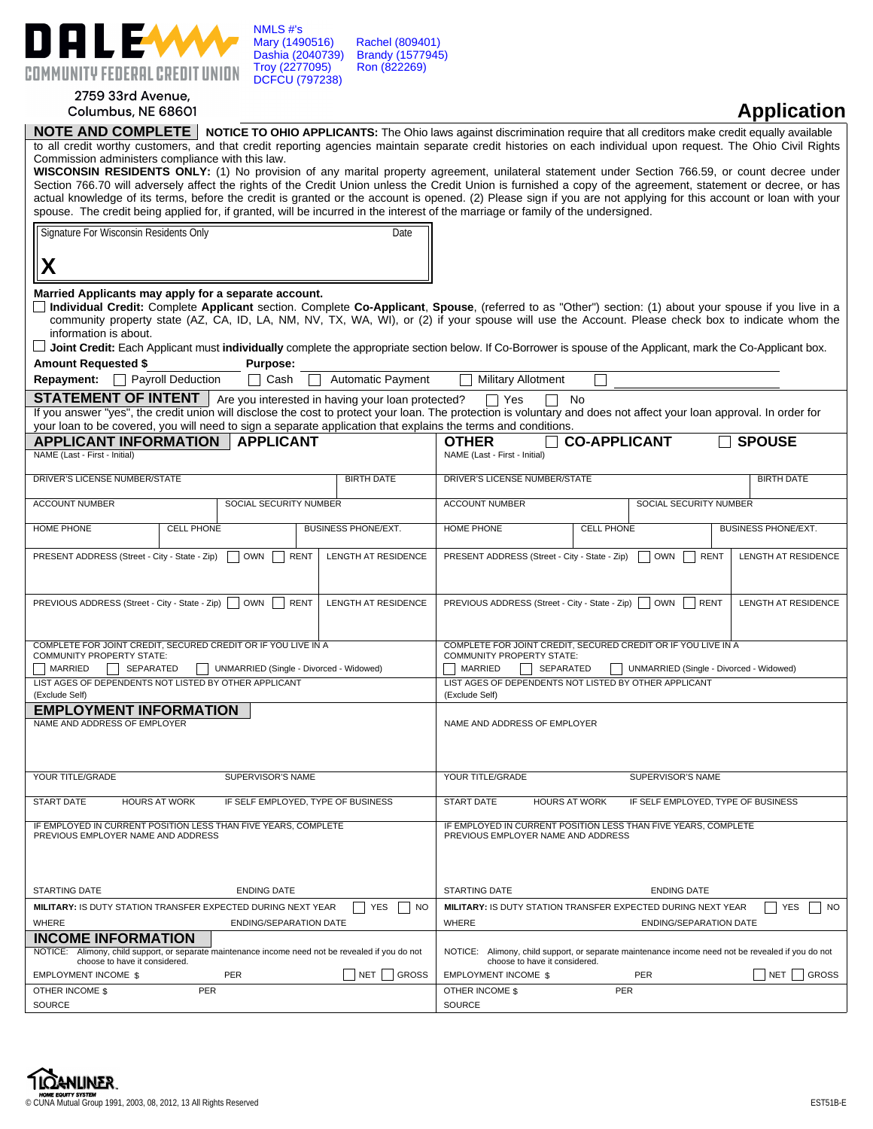

## 2759 33rd Avenue, Columbus, NE 68601

## **Application**

|                                                                                                                                                                     | NOTE AND COMPLETE   NOTICE TO OHIO APPLICANTS: The Ohio laws against discrimination require that all creditors make credit equally available                        |  |  |  |  |  |  |  |  |  |  |
|---------------------------------------------------------------------------------------------------------------------------------------------------------------------|---------------------------------------------------------------------------------------------------------------------------------------------------------------------|--|--|--|--|--|--|--|--|--|--|
| to all credit worthy customers, and that credit reporting agencies maintain separate credit histories on each individual upon request. The Ohio Civil Rights        |                                                                                                                                                                     |  |  |  |  |  |  |  |  |  |  |
| Commission administers compliance with this law.                                                                                                                    |                                                                                                                                                                     |  |  |  |  |  |  |  |  |  |  |
| WISCONSIN RESIDENTS ONLY: (1) No provision of any marital property agreement, unilateral statement under Section 766.59, or count decree under                      |                                                                                                                                                                     |  |  |  |  |  |  |  |  |  |  |
|                                                                                                                                                                     | Section 766.70 will adversely affect the rights of the Credit Union unless the Credit Union is furnished a copy of the agreement, statement or decree, or has       |  |  |  |  |  |  |  |  |  |  |
| actual knowledge of its terms, before the credit is granted or the account is opened. (2) Please sign if you are not applying for this account or loan with your    |                                                                                                                                                                     |  |  |  |  |  |  |  |  |  |  |
| spouse. The credit being applied for, if granted, will be incurred in the interest of the marriage or family of the undersigned.                                    |                                                                                                                                                                     |  |  |  |  |  |  |  |  |  |  |
| Signature For Wisconsin Residents Only<br>Date                                                                                                                      |                                                                                                                                                                     |  |  |  |  |  |  |  |  |  |  |
|                                                                                                                                                                     |                                                                                                                                                                     |  |  |  |  |  |  |  |  |  |  |
| Χ                                                                                                                                                                   |                                                                                                                                                                     |  |  |  |  |  |  |  |  |  |  |
|                                                                                                                                                                     |                                                                                                                                                                     |  |  |  |  |  |  |  |  |  |  |
| Married Applicants may apply for a separate account.                                                                                                                |                                                                                                                                                                     |  |  |  |  |  |  |  |  |  |  |
| Individual Credit: Complete Applicant section. Complete Co-Applicant, Spouse, (referred to as "Other") section: (1) about your spouse if you live in a              |                                                                                                                                                                     |  |  |  |  |  |  |  |  |  |  |
|                                                                                                                                                                     | community property state (AZ, CA, ID, LA, NM, NV, TX, WA, WI), or (2) if your spouse will use the Account. Please check box to indicate whom the                    |  |  |  |  |  |  |  |  |  |  |
| information is about.                                                                                                                                               |                                                                                                                                                                     |  |  |  |  |  |  |  |  |  |  |
|                                                                                                                                                                     | $\Box$ Joint Credit: Each Applicant must individually complete the appropriate section below. If Co-Borrower is spouse of the Applicant, mark the Co-Applicant box. |  |  |  |  |  |  |  |  |  |  |
| <b>Amount Requested \$</b><br><b>Purpose:</b>                                                                                                                       |                                                                                                                                                                     |  |  |  |  |  |  |  |  |  |  |
| <b>Automatic Payment</b><br><b>Repayment:</b> Payroll Deduction<br>Cash                                                                                             | <b>Military Allotment</b>                                                                                                                                           |  |  |  |  |  |  |  |  |  |  |
| <b>STATEMENT OF INTENT</b>   Are you interested in having your loan protected?                                                                                      | $\Box$ Yes<br><b>No</b>                                                                                                                                             |  |  |  |  |  |  |  |  |  |  |
| If you answer "yes", the credit union will disclose the cost to protect your loan. The protection is voluntary and does not affect your loan approval. In order for |                                                                                                                                                                     |  |  |  |  |  |  |  |  |  |  |
| your loan to be covered, you will need to sign a separate application that explains the terms and conditions.                                                       |                                                                                                                                                                     |  |  |  |  |  |  |  |  |  |  |
| <b>APPLICANT INFORMATION</b><br><b>APPLICANT</b>                                                                                                                    | <b>SPOUSE</b><br><b>CO-APPLICANT</b><br><b>OTHER</b>                                                                                                                |  |  |  |  |  |  |  |  |  |  |
| NAME (Last - First - Initial)                                                                                                                                       | NAME (Last - First - Initial)                                                                                                                                       |  |  |  |  |  |  |  |  |  |  |
|                                                                                                                                                                     |                                                                                                                                                                     |  |  |  |  |  |  |  |  |  |  |
| DRIVER'S LICENSE NUMBER/STATE<br><b>BIRTH DATE</b>                                                                                                                  | DRIVER'S LICENSE NUMBER/STATE<br><b>BIRTH DATE</b>                                                                                                                  |  |  |  |  |  |  |  |  |  |  |
| <b>ACCOUNT NUMBER</b><br>SOCIAL SECURITY NUMBER                                                                                                                     | <b>ACCOUNT NUMBER</b><br>SOCIAL SECURITY NUMBER                                                                                                                     |  |  |  |  |  |  |  |  |  |  |
|                                                                                                                                                                     |                                                                                                                                                                     |  |  |  |  |  |  |  |  |  |  |
| HOME PHONE<br><b>CELL PHONE</b><br>BUSINESS PHONE/EXT.                                                                                                              | <b>HOME PHONE</b><br><b>CELL PHONE</b><br><b>BUSINESS PHONE/EXT.</b>                                                                                                |  |  |  |  |  |  |  |  |  |  |
|                                                                                                                                                                     |                                                                                                                                                                     |  |  |  |  |  |  |  |  |  |  |
| <b>OWN</b><br><b>RENT</b><br>LENGTH AT RESIDENCE<br>PRESENT ADDRESS (Street - City - State - Zip)                                                                   | PRESENT ADDRESS (Street - City - State - Zip)<br><b>OWN</b><br>LENGTH AT RESIDENCE<br><b>RENT</b>                                                                   |  |  |  |  |  |  |  |  |  |  |
|                                                                                                                                                                     |                                                                                                                                                                     |  |  |  |  |  |  |  |  |  |  |
|                                                                                                                                                                     |                                                                                                                                                                     |  |  |  |  |  |  |  |  |  |  |
| PREVIOUS ADDRESS (Street - City - State - Zip)<br>OWN<br><b>RENT</b><br>LENGTH AT RESIDENCE                                                                         | PREVIOUS ADDRESS (Street - City - State - Zip)<br><b>OWN</b><br><b>RENT</b><br>LENGTH AT RESIDENCE                                                                  |  |  |  |  |  |  |  |  |  |  |
|                                                                                                                                                                     |                                                                                                                                                                     |  |  |  |  |  |  |  |  |  |  |
|                                                                                                                                                                     |                                                                                                                                                                     |  |  |  |  |  |  |  |  |  |  |
| COMPLETE FOR JOINT CREDIT, SECURED CREDIT OR IF YOU LIVE IN A                                                                                                       | COMPLETE FOR JOINT CREDIT, SECURED CREDIT OR IF YOU LIVE IN A                                                                                                       |  |  |  |  |  |  |  |  |  |  |
| COMMUNITY PROPERTY STATE:                                                                                                                                           | COMMUNITY PROPERTY STATE:                                                                                                                                           |  |  |  |  |  |  |  |  |  |  |
| MARRIED<br><b>SEPARATED</b><br>UNMARRIED (Single - Divorced - Widowed)                                                                                              | MARRIED<br>SEPARATED<br>UNMARRIED (Single - Divorced - Widowed)                                                                                                     |  |  |  |  |  |  |  |  |  |  |
| LIST AGES OF DEPENDENTS NOT LISTED BY OTHER APPLICANT                                                                                                               | LIST AGES OF DEPENDENTS NOT LISTED BY OTHER APPLICANT                                                                                                               |  |  |  |  |  |  |  |  |  |  |
| (Exclude Self)                                                                                                                                                      | (Exclude Self)                                                                                                                                                      |  |  |  |  |  |  |  |  |  |  |
| <b>EMPLOYMENT INFORMATION</b>                                                                                                                                       |                                                                                                                                                                     |  |  |  |  |  |  |  |  |  |  |
| NAME AND ADDRESS OF EMPLOYER                                                                                                                                        | NAME AND ADDRESS OF EMPLOYER                                                                                                                                        |  |  |  |  |  |  |  |  |  |  |
|                                                                                                                                                                     |                                                                                                                                                                     |  |  |  |  |  |  |  |  |  |  |
|                                                                                                                                                                     |                                                                                                                                                                     |  |  |  |  |  |  |  |  |  |  |
| YOUR TITLE/GRADE<br>SUPERVISOR'S NAME                                                                                                                               | YOUR TITLE/GRADE<br>SUPERVISOR'S NAME                                                                                                                               |  |  |  |  |  |  |  |  |  |  |
|                                                                                                                                                                     |                                                                                                                                                                     |  |  |  |  |  |  |  |  |  |  |
| <b>START DATE</b><br><b>HOURS AT WORK</b><br>IF SELF EMPLOYED. TYPE OF BUSINESS                                                                                     | <b>START DATE</b><br><b>HOURS AT WORK</b><br>IF SELF EMPLOYED. TYPE OF BUSINESS                                                                                     |  |  |  |  |  |  |  |  |  |  |
|                                                                                                                                                                     |                                                                                                                                                                     |  |  |  |  |  |  |  |  |  |  |
| IF EMPLOYED IN CURRENT POSITION LESS THAN FIVE YEARS, COMPLETE<br>PREVIOUS EMPLOYER NAME AND ADDRESS                                                                | IF EMPLOYED IN CURRENT POSITION LESS THAN FIVE YEARS, COMPLETE<br>PREVIOUS EMPLOYER NAME AND ADDRESS                                                                |  |  |  |  |  |  |  |  |  |  |
|                                                                                                                                                                     |                                                                                                                                                                     |  |  |  |  |  |  |  |  |  |  |
|                                                                                                                                                                     |                                                                                                                                                                     |  |  |  |  |  |  |  |  |  |  |
|                                                                                                                                                                     |                                                                                                                                                                     |  |  |  |  |  |  |  |  |  |  |
| <b>STARTING DATE</b><br><b>ENDING DATE</b>                                                                                                                          | <b>STARTING DATE</b><br><b>ENDING DATE</b>                                                                                                                          |  |  |  |  |  |  |  |  |  |  |
| MILITARY: IS DUTY STATION TRANSFER EXPECTED DURING NEXT YEAR<br><b>YES</b><br><b>NO</b>                                                                             | MILITARY: IS DUTY STATION TRANSFER EXPECTED DURING NEXT YEAR<br><b>YES</b><br><b>NO</b>                                                                             |  |  |  |  |  |  |  |  |  |  |
| WHERE<br>ENDING/SEPARATION DATE                                                                                                                                     | WHERE<br><b>ENDING/SEPARATION DATE</b>                                                                                                                              |  |  |  |  |  |  |  |  |  |  |
| <b>INCOME INFORMATION</b>                                                                                                                                           |                                                                                                                                                                     |  |  |  |  |  |  |  |  |  |  |
| NOTICE: Alimony, child support, or separate maintenance income need not be revealed if you do not                                                                   | NOTICE: Alimony, child support, or separate maintenance income need not be revealed if you do not                                                                   |  |  |  |  |  |  |  |  |  |  |
| choose to have it considered.                                                                                                                                       | choose to have it considered.                                                                                                                                       |  |  |  |  |  |  |  |  |  |  |
| <b>PER</b><br><b>GROSS</b><br><b>EMPLOYMENT INCOME \$</b><br>NET                                                                                                    | PER<br><b>EMPLOYMENT INCOME \$</b><br><b>GROSS</b><br>NET                                                                                                           |  |  |  |  |  |  |  |  |  |  |
| OTHER INCOME \$<br>PER                                                                                                                                              | OTHER INCOME \$<br>PER                                                                                                                                              |  |  |  |  |  |  |  |  |  |  |
| SOURCE                                                                                                                                                              | SOURCE                                                                                                                                                              |  |  |  |  |  |  |  |  |  |  |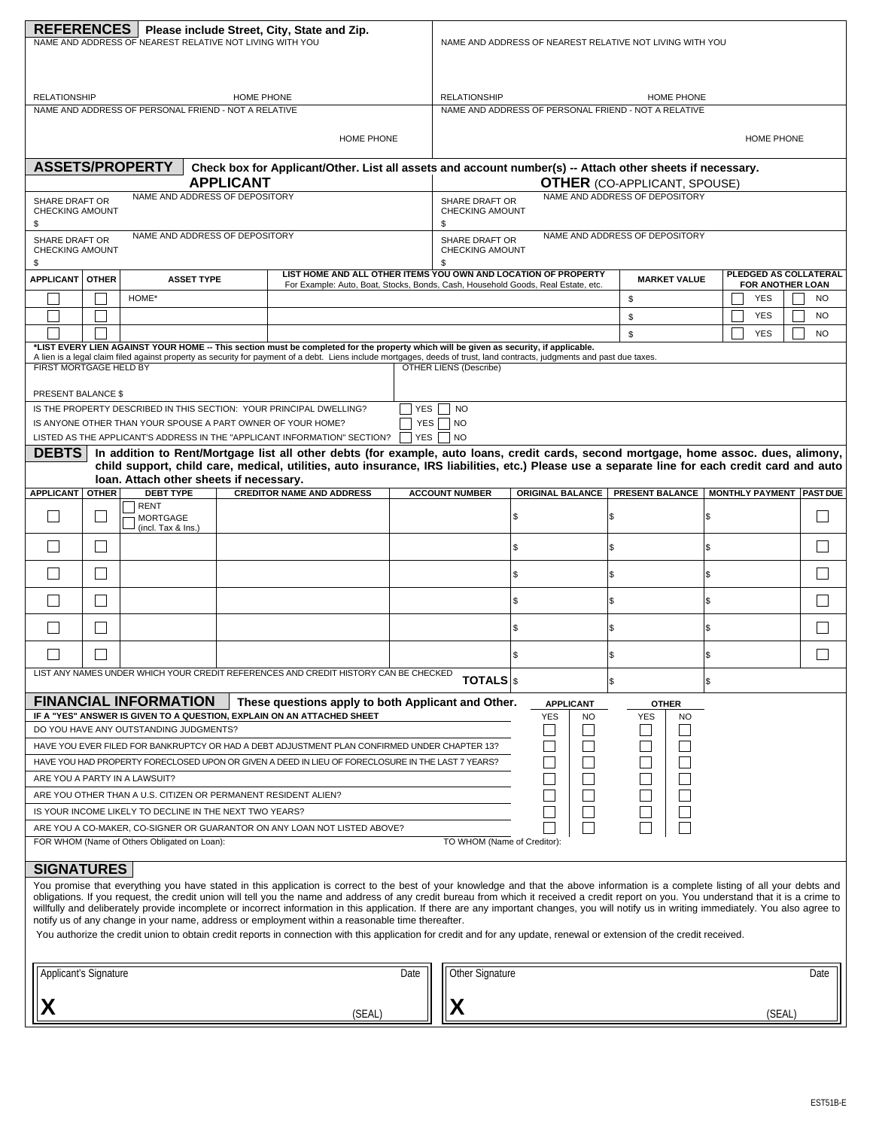| REFERENCES   Please include Street, City, State and Zip.<br>NAME AND ADDRESS OF NEAREST RELATIVE NOT LIVING WITH YOU                                                                                                                                                                                                                                                                                                                                                                                                                                                                                                                                                                                                                                                                                                                                                                 |              |                                                                                                 |  |                                                                                                                                                                                                                                                                                                                   |            | NAME AND ADDRESS OF NEAREST RELATIVE NOT LIVING WITH YOU |                                                                                                                                                  |    |                  |           |                                              |     |                          |                  |                        |
|--------------------------------------------------------------------------------------------------------------------------------------------------------------------------------------------------------------------------------------------------------------------------------------------------------------------------------------------------------------------------------------------------------------------------------------------------------------------------------------------------------------------------------------------------------------------------------------------------------------------------------------------------------------------------------------------------------------------------------------------------------------------------------------------------------------------------------------------------------------------------------------|--------------|-------------------------------------------------------------------------------------------------|--|-------------------------------------------------------------------------------------------------------------------------------------------------------------------------------------------------------------------------------------------------------------------------------------------------------------------|------------|----------------------------------------------------------|--------------------------------------------------------------------------------------------------------------------------------------------------|----|------------------|-----------|----------------------------------------------|-----|--------------------------|------------------|------------------------|
|                                                                                                                                                                                                                                                                                                                                                                                                                                                                                                                                                                                                                                                                                                                                                                                                                                                                                      |              |                                                                                                 |  |                                                                                                                                                                                                                                                                                                                   |            |                                                          |                                                                                                                                                  |    |                  |           |                                              |     |                          |                  |                        |
| <b>RELATIONSHIP</b><br>HOME PHONE                                                                                                                                                                                                                                                                                                                                                                                                                                                                                                                                                                                                                                                                                                                                                                                                                                                    |              |                                                                                                 |  |                                                                                                                                                                                                                                                                                                                   |            |                                                          | <b>RELATIONSHIP</b>                                                                                                                              |    |                  |           | <b>HOME PHONE</b>                            |     |                          |                  |                        |
| NAME AND ADDRESS OF PERSONAL FRIEND - NOT A RELATIVE                                                                                                                                                                                                                                                                                                                                                                                                                                                                                                                                                                                                                                                                                                                                                                                                                                 |              |                                                                                                 |  |                                                                                                                                                                                                                                                                                                                   |            | NAME AND ADDRESS OF PERSONAL FRIEND - NOT A RELATIVE     |                                                                                                                                                  |    |                  |           |                                              |     |                          |                  |                        |
| <b>HOME PHONE</b>                                                                                                                                                                                                                                                                                                                                                                                                                                                                                                                                                                                                                                                                                                                                                                                                                                                                    |              |                                                                                                 |  |                                                                                                                                                                                                                                                                                                                   |            |                                                          |                                                                                                                                                  |    |                  |           |                                              |     |                          | HOME PHONE       |                        |
| <b>ASSETS/PROPERTY</b><br><b>APPLICANT</b>                                                                                                                                                                                                                                                                                                                                                                                                                                                                                                                                                                                                                                                                                                                                                                                                                                           |              |                                                                                                 |  |                                                                                                                                                                                                                                                                                                                   |            |                                                          | Check box for Applicant/Other. List all assets and account number(s) -- Attach other sheets if necessary.<br><b>OTHER (CO-APPLICANT, SPOUSE)</b> |    |                  |           |                                              |     |                          |                  |                        |
| NAME AND ADDRESS OF DEPOSITORY<br><b>SHARE DRAFT OR</b><br><b>CHECKING AMOUNT</b>                                                                                                                                                                                                                                                                                                                                                                                                                                                                                                                                                                                                                                                                                                                                                                                                    |              |                                                                                                 |  |                                                                                                                                                                                                                                                                                                                   |            |                                                          | NAME AND ADDRESS OF DEPOSITORY<br>SHARE DRAFT OR<br>CHECKING AMOUNT                                                                              |    |                  |           |                                              |     |                          |                  |                        |
| \$<br><b>SHARE DRAFT OR</b>                                                                                                                                                                                                                                                                                                                                                                                                                                                                                                                                                                                                                                                                                                                                                                                                                                                          |              | NAME AND ADDRESS OF DEPOSITORY                                                                  |  |                                                                                                                                                                                                                                                                                                                   |            |                                                          | \$<br>NAME AND ADDRESS OF DEPOSITORY<br>SHARE DRAFT OR                                                                                           |    |                  |           |                                              |     |                          |                  |                        |
| <b>CHECKING AMOUNT</b><br>\$                                                                                                                                                                                                                                                                                                                                                                                                                                                                                                                                                                                                                                                                                                                                                                                                                                                         |              |                                                                                                 |  |                                                                                                                                                                                                                                                                                                                   |            |                                                          | <b>CHECKING AMOUNT</b><br>\$                                                                                                                     |    |                  |           |                                              |     |                          |                  |                        |
| <b>APPLICANT</b>                                                                                                                                                                                                                                                                                                                                                                                                                                                                                                                                                                                                                                                                                                                                                                                                                                                                     | <b>OTHER</b> | <b>ASSET TYPE</b>                                                                               |  | LIST HOME AND ALL OTHER ITEMS YOU OWN AND LOCATION OF PROPERTY<br>For Example: Auto, Boat, Stocks, Bonds, Cash, Household Goods, Real Estate, etc.                                                                                                                                                                |            |                                                          |                                                                                                                                                  |    |                  |           | <b>MARKET VALUE</b>                          |     | PLEDGED AS COLLATERAL    | FOR ANOTHER LOAN |                        |
|                                                                                                                                                                                                                                                                                                                                                                                                                                                                                                                                                                                                                                                                                                                                                                                                                                                                                      |              | HOME*                                                                                           |  |                                                                                                                                                                                                                                                                                                                   |            |                                                          |                                                                                                                                                  |    |                  |           | \$<br>\$                                     |     | <b>YES</b><br><b>YES</b> |                  | <b>NO</b><br><b>NO</b> |
|                                                                                                                                                                                                                                                                                                                                                                                                                                                                                                                                                                                                                                                                                                                                                                                                                                                                                      |              |                                                                                                 |  |                                                                                                                                                                                                                                                                                                                   |            |                                                          |                                                                                                                                                  |    |                  |           | \$                                           |     | <b>YES</b>               |                  | <b>NO</b>              |
|                                                                                                                                                                                                                                                                                                                                                                                                                                                                                                                                                                                                                                                                                                                                                                                                                                                                                      |              |                                                                                                 |  | *LIST EVERY LIEN AGAINST YOUR HOME -- This section must be completed for the property which will be given as security, if applicable.<br>A lien is a legal claim filed against property as security for payment of a debt. Liens include mortgages, deeds of trust, land contracts, judgments and past due taxes. |            |                                                          |                                                                                                                                                  |    |                  |           |                                              |     |                          |                  |                        |
| <b>FIRST MORTGAGE HELD BY</b>                                                                                                                                                                                                                                                                                                                                                                                                                                                                                                                                                                                                                                                                                                                                                                                                                                                        |              |                                                                                                 |  |                                                                                                                                                                                                                                                                                                                   |            |                                                          | <b>OTHER LIENS (Describe)</b>                                                                                                                    |    |                  |           |                                              |     |                          |                  |                        |
| <b>PRESENT BALANCE \$</b>                                                                                                                                                                                                                                                                                                                                                                                                                                                                                                                                                                                                                                                                                                                                                                                                                                                            |              |                                                                                                 |  |                                                                                                                                                                                                                                                                                                                   |            |                                                          |                                                                                                                                                  |    |                  |           |                                              |     |                          |                  |                        |
|                                                                                                                                                                                                                                                                                                                                                                                                                                                                                                                                                                                                                                                                                                                                                                                                                                                                                      |              |                                                                                                 |  | IS THE PROPERTY DESCRIBED IN THIS SECTION: YOUR PRINCIPAL DWELLING?                                                                                                                                                                                                                                               | <b>YES</b> |                                                          | <b>NO</b>                                                                                                                                        |    |                  |           |                                              |     |                          |                  |                        |
|                                                                                                                                                                                                                                                                                                                                                                                                                                                                                                                                                                                                                                                                                                                                                                                                                                                                                      |              | IS ANYONE OTHER THAN YOUR SPOUSE A PART OWNER OF YOUR HOME?                                     |  | LISTED AS THE APPLICANT'S ADDRESS IN THE "APPLICANT INFORMATION" SECTION?                                                                                                                                                                                                                                         | <b>YES</b> |                                                          | YES NO<br><b>NO</b>                                                                                                                              |    |                  |           |                                              |     |                          |                  |                        |
| <b>DEBTS</b>                                                                                                                                                                                                                                                                                                                                                                                                                                                                                                                                                                                                                                                                                                                                                                                                                                                                         |              |                                                                                                 |  | In addition to Rent/Mortgage list all other debts (for example, auto loans, credit cards, second mortgage, home assoc. dues, alimony,                                                                                                                                                                             |            |                                                          |                                                                                                                                                  |    |                  |           |                                              |     |                          |                  |                        |
|                                                                                                                                                                                                                                                                                                                                                                                                                                                                                                                                                                                                                                                                                                                                                                                                                                                                                      |              | loan. Attach other sheets if necessary.                                                         |  | child support, child care, medical, utilities, auto insurance, IRS liabilities, etc.) Please use a separate line for each credit card and auto                                                                                                                                                                    |            |                                                          |                                                                                                                                                  |    |                  |           |                                              |     |                          |                  |                        |
| <b>APPLICANT</b>                                                                                                                                                                                                                                                                                                                                                                                                                                                                                                                                                                                                                                                                                                                                                                                                                                                                     | <b>OTHER</b> | <b>DEBT TYPE</b>                                                                                |  | <b>CREDITOR NAME AND ADDRESS</b>                                                                                                                                                                                                                                                                                  |            |                                                          | <b>ACCOUNT NUMBER</b>                                                                                                                            |    | ORIGINAL BALANCE |           | PRESENT BALANCE   MONTHLY PAYMENT   PAST DUE |     |                          |                  |                        |
|                                                                                                                                                                                                                                                                                                                                                                                                                                                                                                                                                                                                                                                                                                                                                                                                                                                                                      |              | <b>RENT</b><br><b>MORTGAGE</b><br>(incl. Tax & Ins.)                                            |  |                                                                                                                                                                                                                                                                                                                   |            |                                                          |                                                                                                                                                  | \$ |                  | 1\$       |                                              | l\$ |                          |                  |                        |
|                                                                                                                                                                                                                                                                                                                                                                                                                                                                                                                                                                                                                                                                                                                                                                                                                                                                                      |              |                                                                                                 |  |                                                                                                                                                                                                                                                                                                                   |            |                                                          |                                                                                                                                                  | \$ |                  | l\$       |                                              | 1\$ |                          |                  |                        |
|                                                                                                                                                                                                                                                                                                                                                                                                                                                                                                                                                                                                                                                                                                                                                                                                                                                                                      | $\Box$       |                                                                                                 |  |                                                                                                                                                                                                                                                                                                                   |            |                                                          |                                                                                                                                                  | \$ |                  | 1\$       |                                              | \$  |                          |                  |                        |
|                                                                                                                                                                                                                                                                                                                                                                                                                                                                                                                                                                                                                                                                                                                                                                                                                                                                                      | П            |                                                                                                 |  |                                                                                                                                                                                                                                                                                                                   |            |                                                          |                                                                                                                                                  | \$ |                  | l\$       |                                              | l\$ |                          |                  |                        |
|                                                                                                                                                                                                                                                                                                                                                                                                                                                                                                                                                                                                                                                                                                                                                                                                                                                                                      | $\vert$      |                                                                                                 |  |                                                                                                                                                                                                                                                                                                                   |            |                                                          |                                                                                                                                                  | \$ |                  | l\$       |                                              | \$  |                          |                  |                        |
|                                                                                                                                                                                                                                                                                                                                                                                                                                                                                                                                                                                                                                                                                                                                                                                                                                                                                      |              |                                                                                                 |  |                                                                                                                                                                                                                                                                                                                   |            |                                                          |                                                                                                                                                  | \$ |                  | 1\$       |                                              | l\$ |                          |                  |                        |
| LIST ANY NAMES UNDER WHICH YOUR CREDIT REFERENCES AND CREDIT HISTORY CAN BE CHECKED                                                                                                                                                                                                                                                                                                                                                                                                                                                                                                                                                                                                                                                                                                                                                                                                  |              |                                                                                                 |  |                                                                                                                                                                                                                                                                                                                   |            |                                                          | TOTALS                                                                                                                                           |    |                  | 1\$       |                                              | 1\$ |                          |                  |                        |
|                                                                                                                                                                                                                                                                                                                                                                                                                                                                                                                                                                                                                                                                                                                                                                                                                                                                                      |              | <b>FINANCIAL INFORMATION</b>                                                                    |  | These questions apply to both Applicant and Other.<br>IF A "YES" ANSWER IS GIVEN TO A QUESTION, EXPLAIN ON AN ATTACHED SHEET                                                                                                                                                                                      |            |                                                          |                                                                                                                                                  |    | <b>APPLICANT</b> |           | <b>OTHER</b>                                 |     |                          |                  |                        |
|                                                                                                                                                                                                                                                                                                                                                                                                                                                                                                                                                                                                                                                                                                                                                                                                                                                                                      |              | DO YOU HAVE ANY OUTSTANDING JUDGMENTS?                                                          |  |                                                                                                                                                                                                                                                                                                                   |            |                                                          |                                                                                                                                                  |    | <b>YES</b>       | <b>NO</b> | YES<br><b>NO</b>                             |     |                          |                  |                        |
|                                                                                                                                                                                                                                                                                                                                                                                                                                                                                                                                                                                                                                                                                                                                                                                                                                                                                      |              |                                                                                                 |  | HAVE YOU EVER FILED FOR BANKRUPTCY OR HAD A DEBT ADJUSTMENT PLAN CONFIRMED UNDER CHAPTER 13?                                                                                                                                                                                                                      |            |                                                          |                                                                                                                                                  |    |                  |           |                                              |     |                          |                  |                        |
|                                                                                                                                                                                                                                                                                                                                                                                                                                                                                                                                                                                                                                                                                                                                                                                                                                                                                      |              |                                                                                                 |  | HAVE YOU HAD PROPERTY FORECLOSED UPON OR GIVEN A DEED IN LIEU OF FORECLOSURE IN THE LAST 7 YEARS?                                                                                                                                                                                                                 |            |                                                          |                                                                                                                                                  |    |                  |           |                                              |     |                          |                  |                        |
|                                                                                                                                                                                                                                                                                                                                                                                                                                                                                                                                                                                                                                                                                                                                                                                                                                                                                      |              | ARE YOU A PARTY IN A LAWSUIT?<br>ARE YOU OTHER THAN A U.S. CITIZEN OR PERMANENT RESIDENT ALIEN? |  |                                                                                                                                                                                                                                                                                                                   |            |                                                          |                                                                                                                                                  |    |                  |           |                                              |     |                          |                  |                        |
|                                                                                                                                                                                                                                                                                                                                                                                                                                                                                                                                                                                                                                                                                                                                                                                                                                                                                      |              | IS YOUR INCOME LIKELY TO DECLINE IN THE NEXT TWO YEARS?                                         |  |                                                                                                                                                                                                                                                                                                                   |            |                                                          |                                                                                                                                                  |    |                  |           |                                              |     |                          |                  |                        |
| ARE YOU A CO-MAKER, CO-SIGNER OR GUARANTOR ON ANY LOAN NOT LISTED ABOVE?                                                                                                                                                                                                                                                                                                                                                                                                                                                                                                                                                                                                                                                                                                                                                                                                             |              |                                                                                                 |  |                                                                                                                                                                                                                                                                                                                   |            |                                                          |                                                                                                                                                  |    |                  |           |                                              |     |                          |                  |                        |
| TO WHOM (Name of Creditor):<br>FOR WHOM (Name of Others Obligated on Loan):                                                                                                                                                                                                                                                                                                                                                                                                                                                                                                                                                                                                                                                                                                                                                                                                          |              |                                                                                                 |  |                                                                                                                                                                                                                                                                                                                   |            |                                                          |                                                                                                                                                  |    |                  |           |                                              |     |                          |                  |                        |
| <b>SIGNATURES</b><br>You promise that everything you have stated in this application is correct to the best of your knowledge and that the above information is a complete listing of all your debts and<br>obligations. If you request, the credit union will tell you the name and address of any credit bureau from which it received a credit report on you. You understand that it is a crime to<br>willfully and deliberately provide incomplete or incorrect information in this application. If there are any important changes, you will notify us in writing immediately. You also agree to<br>notify us of any change in your name, address or employment within a reasonable time thereafter.<br>You authorize the credit union to obtain credit reports in connection with this application for credit and for any update, renewal or extension of the credit received. |              |                                                                                                 |  |                                                                                                                                                                                                                                                                                                                   |            |                                                          |                                                                                                                                                  |    |                  |           |                                              |     |                          |                  |                        |
| Applicant's Signature                                                                                                                                                                                                                                                                                                                                                                                                                                                                                                                                                                                                                                                                                                                                                                                                                                                                |              |                                                                                                 |  |                                                                                                                                                                                                                                                                                                                   | Date       |                                                          | Other Signature                                                                                                                                  |    |                  |           |                                              |     |                          |                  | Date                   |
|                                                                                                                                                                                                                                                                                                                                                                                                                                                                                                                                                                                                                                                                                                                                                                                                                                                                                      |              |                                                                                                 |  |                                                                                                                                                                                                                                                                                                                   |            |                                                          |                                                                                                                                                  |    |                  |           |                                              |     |                          |                  |                        |
|                                                                                                                                                                                                                                                                                                                                                                                                                                                                                                                                                                                                                                                                                                                                                                                                                                                                                      |              |                                                                                                 |  | (SEAL)                                                                                                                                                                                                                                                                                                            |            |                                                          | Х                                                                                                                                                |    |                  |           |                                              |     |                          | (SEAL)           |                        |